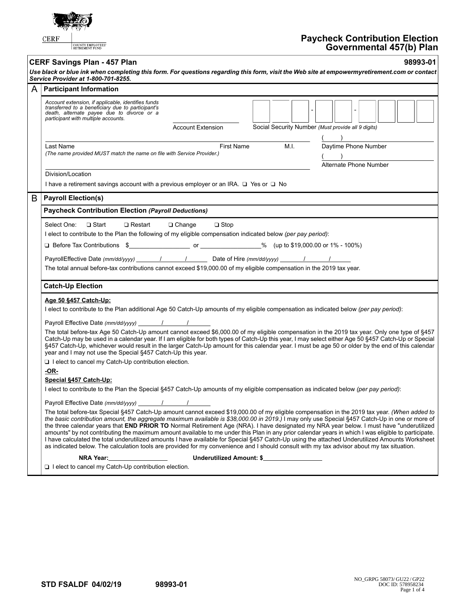|                                                                                                                                                                                                                                                                                                                                                         | <b>CERF</b><br>COUNTY EMPLOYEES<br>RETIREMENT FUND                                                                                                                                                                                                                                                                                                                                                                                                                                                                                                                                                                                                                                                                                                                                                                                                                                                | <b>Paycheck Contribution Election</b><br>Governmental 457(b) Plan                                                                                                                                                                                                                                                                                                                                                                                                                                                                                                                                 |  |  |  |  |  |  |  |
|---------------------------------------------------------------------------------------------------------------------------------------------------------------------------------------------------------------------------------------------------------------------------------------------------------------------------------------------------------|---------------------------------------------------------------------------------------------------------------------------------------------------------------------------------------------------------------------------------------------------------------------------------------------------------------------------------------------------------------------------------------------------------------------------------------------------------------------------------------------------------------------------------------------------------------------------------------------------------------------------------------------------------------------------------------------------------------------------------------------------------------------------------------------------------------------------------------------------------------------------------------------------|---------------------------------------------------------------------------------------------------------------------------------------------------------------------------------------------------------------------------------------------------------------------------------------------------------------------------------------------------------------------------------------------------------------------------------------------------------------------------------------------------------------------------------------------------------------------------------------------------|--|--|--|--|--|--|--|
|                                                                                                                                                                                                                                                                                                                                                         | <b>CERF Savings Plan - 457 Plan</b>                                                                                                                                                                                                                                                                                                                                                                                                                                                                                                                                                                                                                                                                                                                                                                                                                                                               | 98993-01                                                                                                                                                                                                                                                                                                                                                                                                                                                                                                                                                                                          |  |  |  |  |  |  |  |
|                                                                                                                                                                                                                                                                                                                                                         | Service Provider at 1-800-701-8255.                                                                                                                                                                                                                                                                                                                                                                                                                                                                                                                                                                                                                                                                                                                                                                                                                                                               | Use black or blue ink when completing this form. For questions regarding this form, visit the Web site at empowermyretirement.com or contact                                                                                                                                                                                                                                                                                                                                                                                                                                                      |  |  |  |  |  |  |  |
| A                                                                                                                                                                                                                                                                                                                                                       | <b>Participant Information</b>                                                                                                                                                                                                                                                                                                                                                                                                                                                                                                                                                                                                                                                                                                                                                                                                                                                                    |                                                                                                                                                                                                                                                                                                                                                                                                                                                                                                                                                                                                   |  |  |  |  |  |  |  |
|                                                                                                                                                                                                                                                                                                                                                         | Account extension, if applicable, identifies funds<br>transferred to a beneficiary due to participant's<br>death, alternate payee due to divorce or a<br>participant with multiple accounts.                                                                                                                                                                                                                                                                                                                                                                                                                                                                                                                                                                                                                                                                                                      | <b>Account Extension</b><br>Social Security Number (Must provide all 9 digits)                                                                                                                                                                                                                                                                                                                                                                                                                                                                                                                    |  |  |  |  |  |  |  |
|                                                                                                                                                                                                                                                                                                                                                         |                                                                                                                                                                                                                                                                                                                                                                                                                                                                                                                                                                                                                                                                                                                                                                                                                                                                                                   |                                                                                                                                                                                                                                                                                                                                                                                                                                                                                                                                                                                                   |  |  |  |  |  |  |  |
|                                                                                                                                                                                                                                                                                                                                                         | Last Name<br>(The name provided MUST match the name on file with Service Provider.)                                                                                                                                                                                                                                                                                                                                                                                                                                                                                                                                                                                                                                                                                                                                                                                                               | Daytime Phone Number<br>M.I.<br>First Name<br>Alternate Phone Number                                                                                                                                                                                                                                                                                                                                                                                                                                                                                                                              |  |  |  |  |  |  |  |
|                                                                                                                                                                                                                                                                                                                                                         | Division/Location                                                                                                                                                                                                                                                                                                                                                                                                                                                                                                                                                                                                                                                                                                                                                                                                                                                                                 |                                                                                                                                                                                                                                                                                                                                                                                                                                                                                                                                                                                                   |  |  |  |  |  |  |  |
|                                                                                                                                                                                                                                                                                                                                                         | I have a retirement savings account with a previous employer or an IRA. $\Box$ Yes or $\Box$ No                                                                                                                                                                                                                                                                                                                                                                                                                                                                                                                                                                                                                                                                                                                                                                                                   |                                                                                                                                                                                                                                                                                                                                                                                                                                                                                                                                                                                                   |  |  |  |  |  |  |  |
| B                                                                                                                                                                                                                                                                                                                                                       | <b>Payroll Election(s)</b>                                                                                                                                                                                                                                                                                                                                                                                                                                                                                                                                                                                                                                                                                                                                                                                                                                                                        |                                                                                                                                                                                                                                                                                                                                                                                                                                                                                                                                                                                                   |  |  |  |  |  |  |  |
|                                                                                                                                                                                                                                                                                                                                                         | <b>Paycheck Contribution Election (Payroll Deductions)</b>                                                                                                                                                                                                                                                                                                                                                                                                                                                                                                                                                                                                                                                                                                                                                                                                                                        |                                                                                                                                                                                                                                                                                                                                                                                                                                                                                                                                                                                                   |  |  |  |  |  |  |  |
| I elect to contribute to the Plan the following of my eligible compensation indicated below (per pay period):<br>$\Box$ Before Tax Contributions \$<br>PayrollEffective Date (mm/dd/yyyy) 11 1 1 Date of Hire (mm/dd/yyyy) 1 1<br>The total annual before-tax contributions cannot exceed \$19,000.00 of my eligible compensation in the 2019 tax year. |                                                                                                                                                                                                                                                                                                                                                                                                                                                                                                                                                                                                                                                                                                                                                                                                                                                                                                   |                                                                                                                                                                                                                                                                                                                                                                                                                                                                                                                                                                                                   |  |  |  |  |  |  |  |
|                                                                                                                                                                                                                                                                                                                                                         |                                                                                                                                                                                                                                                                                                                                                                                                                                                                                                                                                                                                                                                                                                                                                                                                                                                                                                   | <b>Catch-Up Election</b>                                                                                                                                                                                                                                                                                                                                                                                                                                                                                                                                                                          |  |  |  |  |  |  |  |
|                                                                                                                                                                                                                                                                                                                                                         | Age 50 §457 Catch-Up:<br>Payroll Effective Date (mm/dd/yyyy) / / /<br>year and I may not use the Special §457 Catch-Up this year.<br>$\Box$ I elect to cancel my Catch-Up contribution election.<br><u>-OR-</u>                                                                                                                                                                                                                                                                                                                                                                                                                                                                                                                                                                                                                                                                                   | I elect to contribute to the Plan additional Age 50 Catch-Up amounts of my eligible compensation as indicated below (per pay period):<br>The total before-tax Age 50 Catch-Up amount cannot exceed \$6,000.00 of my eligible compensation in the 2019 tax year. Only one type of §457<br>Catch-Up may be used in a calendar year. If I am eligible for both types of Catch-Up this year, I may select either Age 50 §457 Catch-Up or Special<br>§457 Catch-Up, whichever would result in the larger Catch-Up amount for this calendar year. I must be age 50 or older by the end of this calendar |  |  |  |  |  |  |  |
|                                                                                                                                                                                                                                                                                                                                                         | Special §457 Catch-Up:                                                                                                                                                                                                                                                                                                                                                                                                                                                                                                                                                                                                                                                                                                                                                                                                                                                                            | I elect to contribute to the Plan the Special §457 Catch-Up amounts of my eligible compensation as indicated below (per pay period):                                                                                                                                                                                                                                                                                                                                                                                                                                                              |  |  |  |  |  |  |  |
|                                                                                                                                                                                                                                                                                                                                                         |                                                                                                                                                                                                                                                                                                                                                                                                                                                                                                                                                                                                                                                                                                                                                                                                                                                                                                   |                                                                                                                                                                                                                                                                                                                                                                                                                                                                                                                                                                                                   |  |  |  |  |  |  |  |
|                                                                                                                                                                                                                                                                                                                                                         | The total before-tax Special §457 Catch-Up amount cannot exceed \$19,000.00 of my eligible compensation in the 2019 tax year. (When added to<br>the basic contribution amount, the aggregate maximum available is \$38,000.00 in 2019.) I may only use Special §457 Catch-Up in one or more of<br>the three calendar years that END PRIOR TO Normal Retirement Age (NRA). I have designated my NRA year below. I must have "underutilized<br>amounts" by not contributing the maximum amount available to me under this Plan in any prior calendar years in which I was eligible to participate.<br>I have calculated the total underutilized amounts I have available for Special §457 Catch-Up using the attached Underutilized Amounts Worksheet<br>as indicated below. The calculation tools are provided for my convenience and I should consult with my tax advisor about my tax situation. |                                                                                                                                                                                                                                                                                                                                                                                                                                                                                                                                                                                                   |  |  |  |  |  |  |  |
|                                                                                                                                                                                                                                                                                                                                                         | NRA Year:                                                                                                                                                                                                                                                                                                                                                                                                                                                                                                                                                                                                                                                                                                                                                                                                                                                                                         | Underutilized Amount: \$                                                                                                                                                                                                                                                                                                                                                                                                                                                                                                                                                                          |  |  |  |  |  |  |  |
|                                                                                                                                                                                                                                                                                                                                                         | I lelect to cancel my Catch-Up contribution election.                                                                                                                                                                                                                                                                                                                                                                                                                                                                                                                                                                                                                                                                                                                                                                                                                                             |                                                                                                                                                                                                                                                                                                                                                                                                                                                                                                                                                                                                   |  |  |  |  |  |  |  |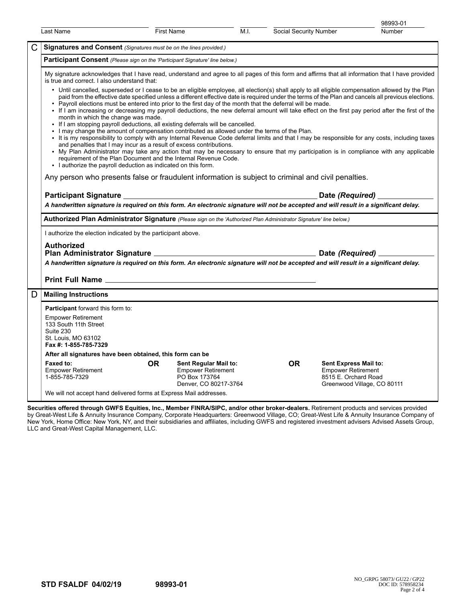|   |                                                                                                                                                                                                                                                                                                                                                                                                                                                                                                                                                                                                                                                                                                                                                                                                                                                                                                                                                                                                                                                                                                                                                                                                                                                                                                                                                                                                                                                                                                                         |                   |                                                                                              |      |                        |                                                                                                           | 98993-01      |  |  |
|---|-------------------------------------------------------------------------------------------------------------------------------------------------------------------------------------------------------------------------------------------------------------------------------------------------------------------------------------------------------------------------------------------------------------------------------------------------------------------------------------------------------------------------------------------------------------------------------------------------------------------------------------------------------------------------------------------------------------------------------------------------------------------------------------------------------------------------------------------------------------------------------------------------------------------------------------------------------------------------------------------------------------------------------------------------------------------------------------------------------------------------------------------------------------------------------------------------------------------------------------------------------------------------------------------------------------------------------------------------------------------------------------------------------------------------------------------------------------------------------------------------------------------------|-------------------|----------------------------------------------------------------------------------------------|------|------------------------|-----------------------------------------------------------------------------------------------------------|---------------|--|--|
|   | Last Name                                                                                                                                                                                                                                                                                                                                                                                                                                                                                                                                                                                                                                                                                                                                                                                                                                                                                                                                                                                                                                                                                                                                                                                                                                                                                                                                                                                                                                                                                                               | <b>First Name</b> |                                                                                              | M.I. | Social Security Number |                                                                                                           | <b>Number</b> |  |  |
| C | Signatures and Consent (Signatures must be on the lines provided.)                                                                                                                                                                                                                                                                                                                                                                                                                                                                                                                                                                                                                                                                                                                                                                                                                                                                                                                                                                                                                                                                                                                                                                                                                                                                                                                                                                                                                                                      |                   |                                                                                              |      |                        |                                                                                                           |               |  |  |
|   | Participant Consent (Please sign on the 'Participant Signature' line below.)                                                                                                                                                                                                                                                                                                                                                                                                                                                                                                                                                                                                                                                                                                                                                                                                                                                                                                                                                                                                                                                                                                                                                                                                                                                                                                                                                                                                                                            |                   |                                                                                              |      |                        |                                                                                                           |               |  |  |
|   | My signature acknowledges that I have read, understand and agree to all pages of this form and affirms that all information that I have provided<br>is true and correct. I also understand that:<br>• Until cancelled, superseded or I cease to be an eligible employee, all election(s) shall apply to all eligible compensation allowed by the Plan<br>paid from the effective date specified unless a different effective date is required under the terms of the Plan and cancels all previous elections.<br>. Payroll elections must be entered into prior to the first day of the month that the deferral will be made.<br>• If I am increasing or decreasing my payroll deductions, the new deferral amount will take effect on the first pay period after the first of the<br>month in which the change was made.<br>• If I am stopping payroll deductions, all existing deferrals will be cancelled.<br>. I may change the amount of compensation contributed as allowed under the terms of the Plan.<br>. It is my responsibility to comply with any Internal Revenue Code deferral limits and that I may be responsible for any costs, including taxes<br>and penalties that I may incur as a result of excess contributions.<br>• My Plan Administrator may take any action that may be necessary to ensure that my participation is in compliance with any applicable<br>requirement of the Plan Document and the Internal Revenue Code.<br>• I authorize the payroll deduction as indicated on this form. |                   |                                                                                              |      |                        |                                                                                                           |               |  |  |
|   |                                                                                                                                                                                                                                                                                                                                                                                                                                                                                                                                                                                                                                                                                                                                                                                                                                                                                                                                                                                                                                                                                                                                                                                                                                                                                                                                                                                                                                                                                                                         |                   |                                                                                              |      |                        |                                                                                                           |               |  |  |
|   | Any person who presents false or fraudulent information is subject to criminal and civil penalties.                                                                                                                                                                                                                                                                                                                                                                                                                                                                                                                                                                                                                                                                                                                                                                                                                                                                                                                                                                                                                                                                                                                                                                                                                                                                                                                                                                                                                     |                   |                                                                                              |      |                        |                                                                                                           |               |  |  |
|   |                                                                                                                                                                                                                                                                                                                                                                                                                                                                                                                                                                                                                                                                                                                                                                                                                                                                                                                                                                                                                                                                                                                                                                                                                                                                                                                                                                                                                                                                                                                         |                   |                                                                                              |      |                        |                                                                                                           |               |  |  |
|   | A handwritten signature is required on this form. An electronic signature will not be accepted and will result in a significant delay.                                                                                                                                                                                                                                                                                                                                                                                                                                                                                                                                                                                                                                                                                                                                                                                                                                                                                                                                                                                                                                                                                                                                                                                                                                                                                                                                                                                  |                   |                                                                                              |      |                        |                                                                                                           |               |  |  |
|   | Authorized Plan Administrator Signature (Please sign on the 'Authorized Plan Administrator Signature' line below.)                                                                                                                                                                                                                                                                                                                                                                                                                                                                                                                                                                                                                                                                                                                                                                                                                                                                                                                                                                                                                                                                                                                                                                                                                                                                                                                                                                                                      |                   |                                                                                              |      |                        |                                                                                                           |               |  |  |
|   | I authorize the election indicated by the participant above.                                                                                                                                                                                                                                                                                                                                                                                                                                                                                                                                                                                                                                                                                                                                                                                                                                                                                                                                                                                                                                                                                                                                                                                                                                                                                                                                                                                                                                                            |                   |                                                                                              |      |                        |                                                                                                           |               |  |  |
|   | <b>Authorized</b><br>A handwritten signature is required on this form. An electronic signature will not be accepted and will result in a significant delay.                                                                                                                                                                                                                                                                                                                                                                                                                                                                                                                                                                                                                                                                                                                                                                                                                                                                                                                                                                                                                                                                                                                                                                                                                                                                                                                                                             |                   |                                                                                              |      |                        |                                                                                                           |               |  |  |
|   |                                                                                                                                                                                                                                                                                                                                                                                                                                                                                                                                                                                                                                                                                                                                                                                                                                                                                                                                                                                                                                                                                                                                                                                                                                                                                                                                                                                                                                                                                                                         |                   |                                                                                              |      |                        |                                                                                                           |               |  |  |
| D | <b>Mailing Instructions</b>                                                                                                                                                                                                                                                                                                                                                                                                                                                                                                                                                                                                                                                                                                                                                                                                                                                                                                                                                                                                                                                                                                                                                                                                                                                                                                                                                                                                                                                                                             |                   |                                                                                              |      |                        |                                                                                                           |               |  |  |
|   |                                                                                                                                                                                                                                                                                                                                                                                                                                                                                                                                                                                                                                                                                                                                                                                                                                                                                                                                                                                                                                                                                                                                                                                                                                                                                                                                                                                                                                                                                                                         |                   |                                                                                              |      |                        |                                                                                                           |               |  |  |
|   | Participant forward this form to:<br><b>Empower Retirement</b><br>133 South 11th Street<br>Suite 230<br>St. Louis, MO 63102<br>Fax #: 1-855-785-7329                                                                                                                                                                                                                                                                                                                                                                                                                                                                                                                                                                                                                                                                                                                                                                                                                                                                                                                                                                                                                                                                                                                                                                                                                                                                                                                                                                    |                   |                                                                                              |      |                        |                                                                                                           |               |  |  |
|   | After all signatures have been obtained, this form can be                                                                                                                                                                                                                                                                                                                                                                                                                                                                                                                                                                                                                                                                                                                                                                                                                                                                                                                                                                                                                                                                                                                                                                                                                                                                                                                                                                                                                                                               |                   |                                                                                              |      |                        |                                                                                                           |               |  |  |
|   | Faxed to:<br><b>Empower Retirement</b><br>1-855-785-7329                                                                                                                                                                                                                                                                                                                                                                                                                                                                                                                                                                                                                                                                                                                                                                                                                                                                                                                                                                                                                                                                                                                                                                                                                                                                                                                                                                                                                                                                | <b>OR</b>         | Sent Regular Mail to:<br><b>Empower Retirement</b><br>PO Box 173764<br>Denver, CO 80217-3764 |      | OR.                    | Sent Express Mail to:<br><b>Empower Retirement</b><br>8515 E. Orchard Road<br>Greenwood Village, CO 80111 |               |  |  |
|   | We will not accept hand delivered forms at Express Mail addresses.                                                                                                                                                                                                                                                                                                                                                                                                                                                                                                                                                                                                                                                                                                                                                                                                                                                                                                                                                                                                                                                                                                                                                                                                                                                                                                                                                                                                                                                      |                   |                                                                                              |      |                        |                                                                                                           |               |  |  |

**Securities offered through GWFS Equities, Inc., Member FINRA/SIPC, and/or other broker-dealers.** Retirement products and services provided by Great-West Life & Annuity Insurance Company, Corporate Headquarters: Greenwood Village, CO; Great-West Life & Annuity Insurance Company of New York, Home Office: New York, NY, and their subsidiaries and affiliates, including GWFS and registered investment advisers Advised Assets Group, LLC and Great-West Capital Management, LLC.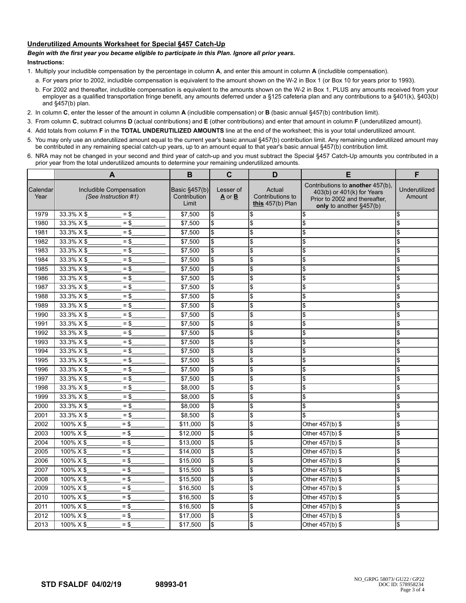## **Underutilized Amounts Worksheet for Special §457 Catch-Up**

## *Begin with the first year you became eligible to participate in this Plan. Ignore all prior years.*

## **Instructions:**

- 1. Multiply your includible compensation by the percentage in column **A**, and enter this amount in column **A** (includible compensation).
	- a. For years prior to 2002, includible compensation is equivalent to the amount shown on the W-2 in Box 1 (or Box 10 for years prior to 1993).
	- b. For 2002 and thereafter, includible compensation is equivalent to the amounts shown on the W-2 in Box 1, PLUS any amounts received from your employer as a qualified transportation fringe benefit, any amounts deferred under a §125 cafeteria plan and any contributions to a §401(k), §403(b) and §457(b) plan.
- 2. In column **C**, enter the lesser of the amount in column **A** (includible compensation) or **B** (basic annual §457(b) contribution limit).
- 3. From column **C**, subtract columns **D** (actual contributions) and **E** (other contributions) and enter that amount in column **F** (underutilized amount).
- 4. Add totals from column **F** in the **TOTAL UNDERUTILIZED AMOUNTS** line at the end of the worksheet; this is your total underutilized amount.
- 5. You may only use an underutilized amount equal to the current year's basic annual §457(b) contribution limit. Any remaining underutilized amount may be contributed in any remaining special catch-up years, up to an amount equal to that year's basic annual §457(b) contribution limit.
- 6. NRA may not be changed in your second and third year of catch-up and you must subtract the Special §457 Catch-Up amounts you contributed in a prior year from the total underutilized amounts to determine your remaining underutilized amounts.

|                  | $\mathbf{A}$                                    |  | B                                      | $\mathbf c$               | D                                                | E                                                                                                                          | F                         |
|------------------|-------------------------------------------------|--|----------------------------------------|---------------------------|--------------------------------------------------|----------------------------------------------------------------------------------------------------------------------------|---------------------------|
| Calendar<br>Year | Includible Compensation<br>(See Instruction #1) |  | Basic §457(b)<br>Contribution<br>Limit | Lesser of<br>A or B       | Actual<br>Contributions to<br>this $457(b)$ Plan | Contributions to another 457(b),<br>403(b) or 401(k) for Years<br>Prior to 2002 and thereafter.<br>only to another §457(b) | Underutilized<br>Amount   |
| 1979             | 33.3% X \$<br>$=$ \$                            |  | \$7,500                                | l\$                       | \$                                               | \$                                                                                                                         | l\$                       |
| 1980             | 33.3% X \$<br>$=$ \$                            |  | \$7,500                                | l\$                       | \$                                               | \$                                                                                                                         | S.                        |
| 1981             | 33.3% X \$<br>$=$ \$                            |  | \$7,500                                | $\sqrt{3}$                | \$                                               | \$                                                                                                                         | S.                        |
| 1982             | $33.3% \times $$<br>= \$                        |  | \$7,500                                | $\boldsymbol{\theta}$     | \$                                               | \$                                                                                                                         | l\$                       |
| 1983             | 33.3% X \$<br>$=$ \$                            |  | \$7,500                                | l\$                       | $\boldsymbol{\mathsf{s}}$                        | \$                                                                                                                         | \$                        |
| 1984             | 33.3% X \$<br>$=$ \$                            |  | \$7,500                                | l\$                       | \$                                               | \$                                                                                                                         | \$                        |
| 1985             | $33.3\% \times $$<br>$=$ \$                     |  | \$7,500                                | l\$                       | \$                                               | \$                                                                                                                         | \$                        |
| 1986             | 33.3% X \$<br>$=$ \$                            |  | \$7,500                                | \$                        | \$                                               | \$                                                                                                                         | \$                        |
| 1987             | 33.3% X \$<br>$=$ \$                            |  | \$7,500                                | l\$                       | \$                                               | \$                                                                                                                         | \$                        |
| 1988             | $33.3\% \times $$<br>$=$ \$                     |  | \$7,500                                | l\$                       | \$                                               | \$                                                                                                                         | l\$                       |
| 1989             | $33.3\% \times $$<br>$=$ \$                     |  | \$7,500                                | l\$                       | \$                                               | \$                                                                                                                         | \$                        |
| 1990             | 33.3% X \$<br>$=$ \$                            |  | \$7,500                                | l\$                       | \$                                               | \$                                                                                                                         | \$                        |
| 1991             | $33.3\% \times $$<br>$=$ \$                     |  | \$7,500                                | $\boldsymbol{\mathsf{S}}$ | \$                                               | \$                                                                                                                         | \$                        |
| 1992             | $33.3% \times $$<br>$=$ \$                      |  | \$7,500                                | l\$                       | $\boldsymbol{\mathsf{S}}$                        | \$                                                                                                                         | \$                        |
| 1993             | 33.3% X \$<br>$=$ \$                            |  | \$7,500                                | $\sqrt{3}$                | \$                                               | \$                                                                                                                         | \$                        |
| 1994             | $33.3\% \times $$<br>$=$ \$                     |  | \$7,500                                | l\$                       | \$                                               | \$                                                                                                                         | \$                        |
| 1995             | 33.3% X \$<br>$=$ \$                            |  | \$7,500                                | \$                        | \$                                               | \$                                                                                                                         | \$                        |
| 1996             | 33.3% X \$<br>$=$ \$                            |  | \$7,500                                | l\$                       | \$                                               | \$                                                                                                                         | \$                        |
| 1997             | $33.3\% \times $$<br>$=$ \$                     |  | \$7,500                                | l\$                       | \$                                               | \$                                                                                                                         | \$                        |
| 1998             | $33.3\% \times $$<br>$=$ \$                     |  | \$8,000                                | l\$                       | \$                                               | \$                                                                                                                         | \$                        |
| 1999             | 33.3% X \$<br>$=$ \$                            |  | \$8,000                                | \$                        | \$                                               | \$                                                                                                                         | \$                        |
| 2000             | 33.3% X \$<br>= \$                              |  | \$8,000                                | \$                        | \$                                               | \$                                                                                                                         | \$                        |
| 2001             | $33.3% \times $$<br>$=$ \$                      |  | \$8.500                                | l\$                       | $\boldsymbol{\mathsf{S}}$                        | \$                                                                                                                         | \$                        |
| 2002             | $100\% \times $$<br>$=$ \$                      |  | \$11,000                               | $\sqrt{3}$                | $\boldsymbol{\mathsf{S}}$                        | Other 457(b) \$                                                                                                            | \$                        |
| 2003             | $100\% \times $$<br>$=$ \$                      |  | \$12,000                               | $\sqrt{3}$                | \$                                               | Other 457(b) \$                                                                                                            | \$                        |
| 2004             | 100% X \$<br>$=$ \$                             |  | \$13,000                               | \$                        | \$                                               | Other 457(b) \$                                                                                                            | \$                        |
| 2005             | $100\% \times $$<br>$=$ \$                      |  | \$14,000                               | l\$                       | \$                                               | Other 457(b) \$                                                                                                            | \$                        |
| 2006             | $100\% \times $$<br>$=$ \$                      |  | \$15,000                               | l\$                       | \$                                               | Other 457(b) \$                                                                                                            | \$                        |
| 2007             | $100\% \times $$<br>$=$ \$                      |  | \$15,500                               | l\$                       | \$                                               | Other $457(b)$ \$                                                                                                          | \$                        |
| 2008             | 100% X \$<br>$=$ \$                             |  | \$15,500                               | \$                        | \$                                               | Other 457(b) \$                                                                                                            | \$                        |
| 2009             | 100% X \$<br>$=$ \$                             |  | \$16,500                               | l\$                       | \$                                               | Other 457(b) \$                                                                                                            | \$                        |
| 2010             | 100% X \$<br>$=$ \$                             |  | \$16,500                               | $\sqrt{3}$                | $\overline{\mathcal{S}}$                         | Other 457(b) \$                                                                                                            | \$                        |
| 2011             | $100\% \times $$<br>$=$ \$                      |  | \$16,500                               | l\$                       | <b>S</b>                                         | Other 457(b) \$                                                                                                            | \$                        |
| 2012             | 100% X \$<br>$=$ \$                             |  | \$17,000                               | $\sqrt{3}$                | \$                                               | Other 457(b) \$                                                                                                            | $\boldsymbol{\mathsf{S}}$ |
| 2013             | 100% X \$<br>$=$ \$                             |  | \$17,500                               | \$                        | \$                                               | Other 457(b) \$                                                                                                            | \$                        |